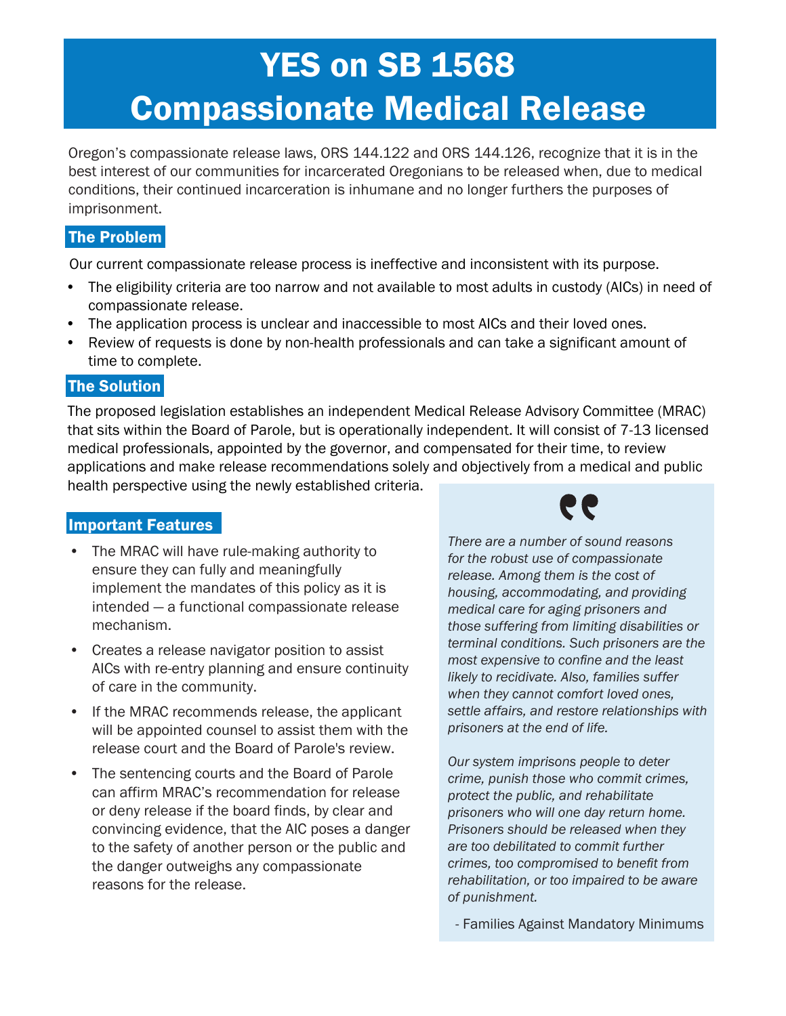# **YES on SB 1568** Compassionate Medical Release

Upholding the human dignity of incarcerated Oregonians through compassionate release. Oregon's compassionate release laws, ORS 144.122 and ORS 144.126, recognize that it is in the best interest of our communities for incarcerated Oregonians to be released when, due to medical conditions, their continued incarceration is inhumane and no longer furthers the purposes of imprisonment.

### The Problem

Our current compassionate release process is ineffective and inconsistent with its purpose.

- The eligibility criteria are too narrow and not available to most adults in custody (AICs) in need of compassionate release.
- The application process is unclear and inaccessible to most AICs and their loved ones.
- Review of requests is done by non-health professionals and can take a significant amount of time to complete.

#### The Solution

The proposed legislation establishes an independent Medical Release Advisory Committee (MRAC) that sits within the Board of Parole, but is operationally independent. It will consist of 7-13 licensed medical professionals, appointed by the governor, and compensated for their time, to review applications and make release recommendations solely and objectively from a medical and public health perspective using the newly established criteria.

#### Important Features

- The MRAC will have rule-making authority to ensure they can fully and meaningfully implement the mandates of this policy as it is intended — a functional compassionate release mechanism.
- Creates a release navigator position to assist AICs with re-entry planning and ensure continuity of care in the community.
- If the MRAC recommends release, the applicant will be appointed counsel to assist them with the release court and the Board of Parole's review.
- The sentencing courts and the Board of Parole can affirm MRAC's recommendation for release or deny release if the board finds, by clear and convincing evidence, that the AIC poses a danger to the safety of another person or the public and the danger outweighs any compassionate reasons for the release.



*There are a number of sound reasons for the robust use of compassionate release. Among them is the cost of housing, accommodating, and providing medical care for aging prisoners and those suffering from limiting disabilities or terminal conditions. Such prisoners are the most expensive to confine and the least likely to recidivate. Also, families suffer when they cannot comfort loved ones, settle affairs, and restore relationships with prisoners at the end of life.*

*Our system imprisons people to deter crime, punish those who commit crimes, protect the public, and rehabilitate prisoners who will one day return home. Prisoners should be released when they are too debilitated to commit further crimes, too compromised to benefit from rehabilitation, or too impaired to be aware of punishment.*

- Families Against Mandatory Minimums